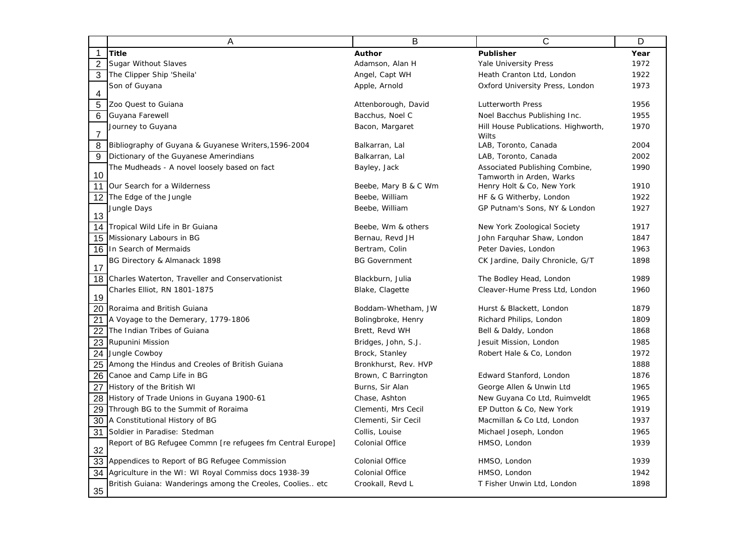|                | Α                                                          | B                    | C                                                          | D    |
|----------------|------------------------------------------------------------|----------------------|------------------------------------------------------------|------|
| $\mathbf 1$    | <b>Title</b>                                               | Author               | Publisher                                                  | Year |
| $\overline{2}$ | Sugar Without Slaves                                       | Adamson, Alan H      | Yale University Press                                      | 1972 |
| 3              | The Clipper Ship 'Sheila'                                  | Angel, Capt WH       | Heath Cranton Ltd, London                                  | 1922 |
|                | Son of Guyana                                              | Apple, Arnold        | Oxford University Press, London                            | 1973 |
| 4              |                                                            |                      |                                                            | 1956 |
| 5              | Zoo Quest to Guiana                                        | Attenborough, David  | Lutterworth Press                                          | 1955 |
| 6              | Guyana Farewell                                            | Bacchus, Noel C      | Noel Bacchus Publishing Inc.                               |      |
| $\overline{7}$ | Journey to Guyana                                          | Bacon, Margaret      | Hill House Publications. Highworth,<br>Wilts               | 1970 |
| 8              | Bibliography of Guyana & Guyanese Writers, 1596-2004       | Balkarran, Lal       | LAB, Toronto, Canada                                       | 2004 |
| 9              | Dictionary of the Guyanese Amerindians                     | Balkarran, Lal       | LAB, Toronto, Canada                                       | 2002 |
| 10             | The Mudheads - A novel loosely based on fact               | Bayley, Jack         | Associated Publishing Combine,<br>Tamworth in Arden, Warks | 1990 |
| 11             | Our Search for a Wilderness                                | Beebe, Mary B & C Wm | Henry Holt & Co, New York                                  | 1910 |
| 12             | The Edge of the Jungle                                     | Beebe, William       | HF & G Witherby, London                                    | 1922 |
|                | Jungle Days                                                | Beebe, William       | GP Putnam's Sons, NY & London                              | 1927 |
| 13             |                                                            |                      |                                                            |      |
| 14             | Tropical Wild Life in Br Guiana                            | Beebe, Wm & others   | New York Zoological Society                                | 1917 |
| 15             | Missionary Labours in BG                                   | Bernau, Revd JH      | John Farquhar Shaw, London                                 | 1847 |
| 16             | In Search of Mermaids                                      | Bertram, Colin       | Peter Davies, London                                       | 1963 |
| 17             | BG Directory & Almanack 1898                               | <b>BG Government</b> | CK Jardine, Daily Chronicle, G/T                           | 1898 |
| 18             | Charles Waterton, Traveller and Conservationist            | Blackburn, Julia     | The Bodley Head, London                                    | 1989 |
| 19             | Charles Elliot, RN 1801-1875                               | Blake, Clagette      | Cleaver-Hume Press Ltd, London                             | 1960 |
| 20             | Roraima and British Guiana                                 | Boddam-Whetham, JW   | Hurst & Blackett, London                                   | 1879 |
| 21             | A Voyage to the Demerary, 1779-1806                        | Bolingbroke, Henry   | Richard Philips, London                                    | 1809 |
| 22             | The Indian Tribes of Guiana                                | Brett, Revd WH       | Bell & Daldy, London                                       | 1868 |
| 23             | Rupunini Mission                                           | Bridges, John, S.J.  | Jesuit Mission, London                                     | 1985 |
| 24             | Jungle Cowboy                                              | Brock, Stanley       | Robert Hale & Co, London                                   | 1972 |
| 25             | Among the Hindus and Creoles of British Guiana             | Bronkhurst, Rev. HVP |                                                            | 1888 |
| 26             | Canoe and Camp Life in BG                                  | Brown, C Barrington  | Edward Stanford, London                                    | 1876 |
| 27             | History of the British WI                                  | Burns, Sir Alan      | George Allen & Unwin Ltd                                   | 1965 |
| 28             | History of Trade Unions in Guyana 1900-61                  | Chase, Ashton        | New Guyana Co Ltd, Ruimveldt                               | 1965 |
| 29             | Through BG to the Summit of Roraima                        | Clementi, Mrs Cecil  | EP Dutton & Co, New York                                   | 1919 |
| 30             | A Constitutional History of BG                             | Clementi, Sir Cecil  | Macmillan & Co Ltd, London                                 | 1937 |
| 31             | Soldier in Paradise: Stedman                               | Collis, Louise       | Michael Joseph, London                                     | 1965 |
| 32             | Report of BG Refugee Commn [re refugees fm Central Europe] | Colonial Office      | HMSO, London                                               | 1939 |
| 33             | Appendices to Report of BG Refugee Commission              | Colonial Office      | HMSO, London                                               | 1939 |
| 34             | Agriculture in the WI: WI Royal Commiss docs 1938-39       | Colonial Office      | HMSO, London                                               | 1942 |
| 35             | British Guiana: Wanderings among the Creoles, Coolies etc  | Crookall, Revd L     | T Fisher Unwin Ltd, London                                 | 1898 |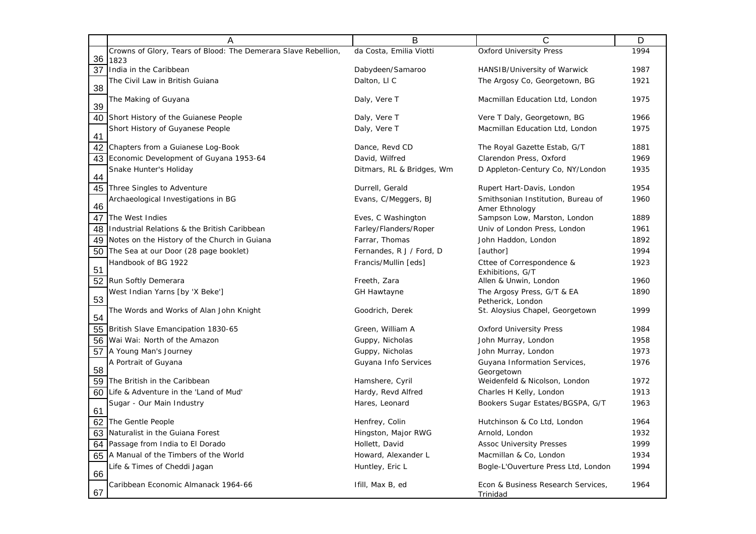|    | Α                                                              | B                         | $\mathsf{C}$                                         | D    |
|----|----------------------------------------------------------------|---------------------------|------------------------------------------------------|------|
|    | Crowns of Glory, Tears of Blood: The Demerara Slave Rebellion, | da Costa, Emilia Viotti   | <b>Oxford University Press</b>                       | 1994 |
| 36 | 1823                                                           |                           |                                                      |      |
| 37 | India in the Caribbean                                         | Dabydeen/Samaroo          | HANSIB/University of Warwick                         | 1987 |
| 38 | The Civil Law in British Guiana                                | Dalton, LIC               | The Argosy Co, Georgetown, BG                        | 1921 |
| 39 | The Making of Guyana                                           | Daly, Vere T              | Macmillan Education Ltd, London                      | 1975 |
| 40 | Short History of the Guianese People                           | Daly, Vere T              | Vere T Daly, Georgetown, BG                          | 1966 |
|    | Short History of Guyanese People                               | Daly, Vere T              | Macmillan Education Ltd, London                      | 1975 |
| 41 |                                                                |                           |                                                      |      |
| 42 | Chapters from a Guianese Log-Book                              | Dance, Revd CD            | The Royal Gazette Estab, G/T                         | 1881 |
| 43 | Economic Development of Guyana 1953-64                         | David, Wilfred            | Clarendon Press, Oxford                              | 1969 |
| 44 | Snake Hunter's Holiday                                         | Ditmars, RL & Bridges, Wm | D Appleton-Century Co, NY/London                     | 1935 |
| 45 | Three Singles to Adventure                                     | Durrell, Gerald           | Rupert Hart-Davis, London                            | 1954 |
| 46 | Archaeological Investigations in BG                            | Evans, C/Meggers, BJ      | Smithsonian Institution, Bureau of<br>Amer Ethnology | 1960 |
| 47 | The West Indies                                                | Eves, C Washington        | Sampson Low, Marston, London                         | 1889 |
| 48 | Industrial Relations & the British Caribbean                   | Farley/Flanders/Roper     | Univ of London Press, London                         | 1961 |
| 49 | Notes on the History of the Church in Guiana                   | Farrar, Thomas            | John Haddon, London                                  | 1892 |
| 50 | The Sea at our Door (28 page booklet)                          | Fernandes, R J / Ford, D  | [author]                                             | 1994 |
|    | Handbook of BG 1922                                            | Francis/Mullin [eds]      | Cttee of Correspondence &                            | 1923 |
| 51 |                                                                |                           | Exhibitions, G/T                                     | 1960 |
| 52 | Run Softly Demerara                                            | Freeth, Zara              | Allen & Unwin, London                                |      |
| 53 | West Indian Yarns [by 'X Beke']                                | <b>GH Hawtayne</b>        | The Argosy Press, G/T & EA<br>Petherick, London      | 1890 |
| 54 | The Words and Works of Alan John Knight                        | Goodrich, Derek           | St. Aloysius Chapel, Georgetown                      | 1999 |
| 55 | British Slave Emancipation 1830-65                             | Green, William A          | <b>Oxford University Press</b>                       | 1984 |
| 56 | Wai Wai: North of the Amazon                                   | Guppy, Nicholas           | John Murray, London                                  | 1958 |
| 57 | A Young Man's Journey                                          | Guppy, Nicholas           | John Murray, London                                  | 1973 |
|    | A Portrait of Guyana                                           | Guyana Info Services      | Guyana Information Services,                         | 1976 |
| 58 |                                                                |                           | Georgetown                                           |      |
| 59 | The British in the Caribbean                                   | Hamshere, Cyril           | Weidenfeld & Nicolson, London                        | 1972 |
| 60 | Life & Adventure in the 'Land of Mud'                          | Hardy, Revd Alfred        | Charles H Kelly, London                              | 1913 |
| 61 | Sugar - Our Main Industry                                      | Hares, Leonard            | Bookers Sugar Estates/BGSPA, G/T                     | 1963 |
| 62 | The Gentle People                                              | Henfrey, Colin            | Hutchinson & Co Ltd, London                          | 1964 |
| 63 | Naturalist in the Guiana Forest                                | Hingston, Major RWG       | Arnold, London                                       | 1932 |
| 64 | Passage from India to El Dorado                                | Hollett, David            | <b>Assoc University Presses</b>                      | 1999 |
| 65 | A Manual of the Timbers of the World                           | Howard, Alexander L       | Macmillan & Co, London                               | 1934 |
| 66 | Life & Times of Cheddi Jagan                                   | Huntley, Eric L           | Bogle-L'Ouverture Press Ltd, London                  | 1994 |
| 67 | Caribbean Economic Almanack 1964-66                            | Ifill, Max B, ed          | Econ & Business Research Services,<br>Trinidad       | 1964 |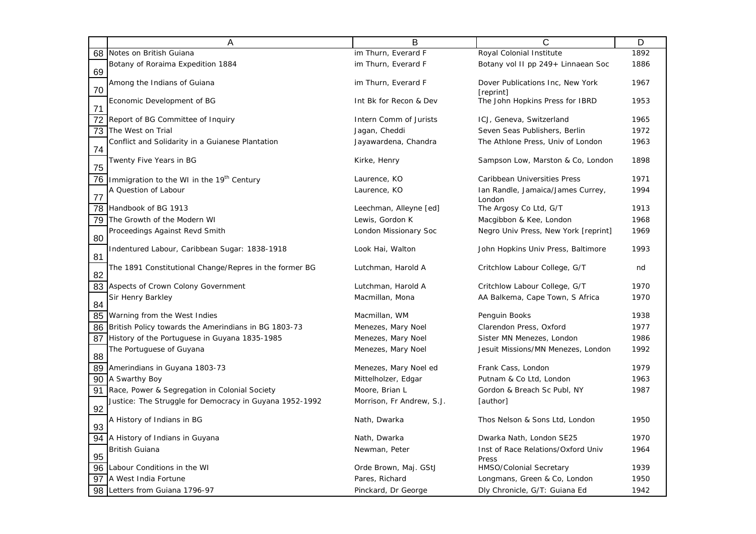|                 | A                                                       | В                         | С                                             | D    |
|-----------------|---------------------------------------------------------|---------------------------|-----------------------------------------------|------|
| 68              | Notes on British Guiana                                 | im Thurn, Everard F       | Royal Colonial Institute                      | 1892 |
| 69              | Botany of Roraima Expedition 1884                       | im Thurn, Everard F       | Botany vol II pp 249+ Linnaean Soc            | 1886 |
| 70              | Among the Indians of Guiana                             | im Thurn, Everard F       | Dover Publications Inc, New York<br>[reprint] | 1967 |
| 71              | Economic Development of BG                              | Int Bk for Recon & Dev    | The John Hopkins Press for IBRD               | 1953 |
| $\overline{72}$ | Report of BG Committee of Inquiry                       | Intern Comm of Jurists    | ICJ, Geneva, Switzerland                      | 1965 |
| 73              | The West on Trial                                       | Jagan, Cheddi             | Seven Seas Publishers, Berlin                 | 1972 |
| 74              | Conflict and Solidarity in a Guianese Plantation        | Jayawardena, Chandra      | The Athlone Press, Univ of London             | 1963 |
| 75              | Twenty Five Years in BG                                 | Kirke, Henry              | Sampson Low, Marston & Co, London             | 1898 |
| 76              | Immigration to the WI in the 19 <sup>th</sup> Century   | Laurence, KO              | Caribbean Universities Press                  | 1971 |
| 77              | A Question of Labour                                    | Laurence, KO              | Ian Randle, Jamaica/James Currey,             | 1994 |
| 78              | Handbook of BG 1913                                     | Leechman, Alleyne [ed]    | London<br>The Argosy Co Ltd, G/T              | 1913 |
| 79              | The Growth of the Modern WI                             | Lewis, Gordon K           | Macgibbon & Kee, London                       | 1968 |
| 80              | Proceedings Against Revd Smith                          | London Missionary Soc     | Negro Univ Press, New York [reprint]          | 1969 |
| 81              | Indentured Labour, Caribbean Sugar: 1838-1918           | Look Hai, Walton          | John Hopkins Univ Press, Baltimore            | 1993 |
| 82              | The 1891 Constitutional Change/Repres in the former BG  | Lutchman, Harold A        | Critchlow Labour College, G/T                 | nd   |
| 83              | Aspects of Crown Colony Government                      | Lutchman, Harold A        | Critchlow Labour College, G/T                 | 1970 |
| 84              | Sir Henry Barkley                                       | Macmillan, Mona           | AA Balkema, Cape Town, S Africa               | 1970 |
| 85              | Warning from the West Indies                            | Macmillan, WM             | Penguin Books                                 | 1938 |
| 86              | British Policy towards the Amerindians in BG 1803-73    | Menezes, Mary Noel        | Clarendon Press, Oxford                       | 1977 |
| 87              | History of the Portuguese in Guyana 1835-1985           | Menezes, Mary Noel        | Sister MN Menezes, London                     | 1986 |
| 88              | The Portuguese of Guyana                                | Menezes, Mary Noel        | Jesuit Missions/MN Menezes, London            | 1992 |
| 89              | Amerindians in Guyana 1803-73                           | Menezes, Mary Noel ed     | Frank Cass, London                            | 1979 |
| 90              | A Swarthy Boy                                           | Mittelholzer, Edgar       | Putnam & Co Ltd, London                       | 1963 |
| 91              | Race, Power & Segregation in Colonial Society           | Moore, Brian L            | Gordon & Breach Sc Publ, NY                   | 1987 |
| 92              | Justice: The Struggle for Democracy in Guyana 1952-1992 | Morrison, Fr Andrew, S.J. | [author]                                      |      |
| 93              | A History of Indians in BG                              | Nath, Dwarka              | Thos Nelson & Sons Ltd, London                | 1950 |
| 94              | A History of Indians in Guyana                          | Nath, Dwarka              | Dwarka Nath, London SE25                      | 1970 |
| 95              | British Guiana                                          | Newman, Peter             | Inst of Race Relations/Oxford Univ<br>Press   | 1964 |
| 96              | Labour Conditions in the WI                             | Orde Brown, Maj. GStJ     | <b>HMSO/Colonial Secretary</b>                | 1939 |
| 97              | A West India Fortune                                    | Pares, Richard            | Longmans, Green & Co, London                  | 1950 |
| 98              | Letters from Guiana 1796-97                             | Pinckard, Dr George       | Dly Chronicle, G/T: Guiana Ed                 | 1942 |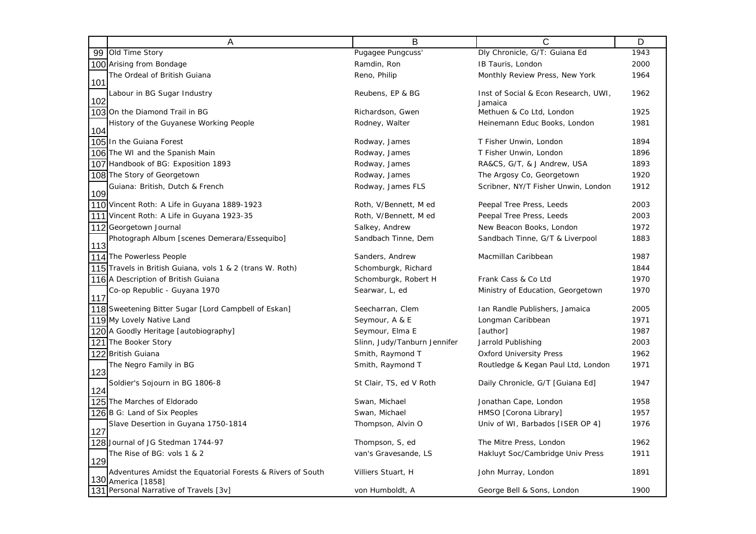|            | A                                                            | в                            | С                                    | D    |
|------------|--------------------------------------------------------------|------------------------------|--------------------------------------|------|
| 99         | Old Time Story                                               | Pugagee Pungcuss'            | Dly Chronicle, G/T: Guiana Ed        | 1943 |
|            | 100 Arising from Bondage                                     | Ramdin, Ron                  | IB Tauris, London                    | 2000 |
|            | The Ordeal of British Guiana                                 | Reno, Philip                 | Monthly Review Press, New York       | 1964 |
| 101<br>102 | Labour in BG Sugar Industry                                  | Reubens, EP & BG             | Inst of Social & Econ Research, UWI, | 1962 |
|            | 103 On the Diamond Trail in BG                               | Richardson, Gwen             | Jamaica<br>Methuen & Co Ltd, London  | 1925 |
|            | History of the Guyanese Working People                       | Rodney, Walter               | Heinemann Educ Books, London         | 1981 |
| 104        |                                                              |                              |                                      |      |
|            | 105 In the Guiana Forest                                     | Rodway, James                | T Fisher Unwin, London               | 1894 |
|            | 106 The WI and the Spanish Main                              | Rodway, James                | T Fisher Unwin, London               | 1896 |
|            | 107 Handbook of BG: Exposition 1893                          | Rodway, James                | RA&CS, G/T, & J Andrew, USA          | 1893 |
|            | 108 The Story of Georgetown                                  | Rodway, James                | The Argosy Co, Georgetown            | 1920 |
| 109        | Guiana: British, Dutch & French                              | Rodway, James FLS            | Scribner, NY/T Fisher Unwin, London  | 1912 |
|            | 110 Vincent Roth: A Life in Guyana 1889-1923                 | Roth, V/Bennett, M ed        | Peepal Tree Press, Leeds             | 2003 |
|            | 111 Vincent Roth: A Life in Guyana 1923-35                   | Roth, V/Bennett, M ed        | Peepal Tree Press, Leeds             | 2003 |
|            | 112 Georgetown Journal                                       | Salkey, Andrew               | New Beacon Books, London             | 1972 |
| 113        | Photograph Album [scenes Demerara/Essequibo]                 | Sandbach Tinne, Dem          | Sandbach Tinne, G/T & Liverpool      | 1883 |
|            | 114 The Powerless People                                     | Sanders, Andrew              | Macmillan Caribbean                  | 1987 |
|            | 115 Travels in British Guiana, vols 1 & 2 (trans W. Roth)    | Schomburgk, Richard          |                                      | 1844 |
|            | 116 A Description of British Guiana                          | Schomburgk, Robert H         | Frank Cass & Co Ltd                  | 1970 |
|            | Co-op Republic - Guyana 1970                                 | Searwar, L, ed               | Ministry of Education, Georgetown    | 1970 |
| 117        |                                                              |                              |                                      |      |
|            | 118 Sweetening Bitter Sugar [Lord Campbell of Eskan]         | Seecharran, Clem             | Ian Randle Publishers, Jamaica       | 2005 |
|            | 119 My Lovely Native Land                                    | Seymour, A & E               | Longman Caribbean                    | 1971 |
|            | 120 A Goodly Heritage [autobiography]                        | Seymour, Elma E              | [author]                             | 1987 |
|            | 121 The Booker Story                                         | Slinn, Judy/Tanburn Jennifer | Jarrold Publishing                   | 2003 |
|            | 122 British Guiana                                           | Smith, Raymond T             | <b>Oxford University Press</b>       | 1962 |
|            | The Negro Family in BG                                       | Smith, Raymond T             | Routledge & Kegan Paul Ltd, London   | 1971 |
| 123<br>124 | Soldier's Sojourn in BG 1806-8                               | St Clair, TS, ed V Roth      | Daily Chronicle, G/T [Guiana Ed]     | 1947 |
|            | 125 The Marches of Eldorado                                  | Swan, Michael                | Jonathan Cape, London                | 1958 |
|            | 126 B G: Land of Six Peoples                                 | Swan, Michael                | HMSO [Corona Library]                | 1957 |
|            | Slave Desertion in Guyana 1750-1814                          | Thompson, Alvin O            | Univ of WI, Barbados [ISER OP 4]     | 1976 |
| 127        |                                                              |                              |                                      |      |
|            | 128 Journal of JG Stedman 1744-97                            | Thompson, S, ed              | The Mitre Press, London              | 1962 |
|            | The Rise of BG: vols 1 & 2                                   | van's Gravesande, LS         | Hakluyt Soc/Cambridge Univ Press     | 1911 |
| 129        |                                                              |                              |                                      |      |
|            | Adventures Amidst the Equatorial Forests & Rivers of South   | Villiers Stuart, H           | John Murray, London                  | 1891 |
|            | 130 America [1858]<br>131 Personal Narrative of Travels [3v] | von Humboldt, A              | George Bell & Sons, London           | 1900 |
|            |                                                              |                              |                                      |      |